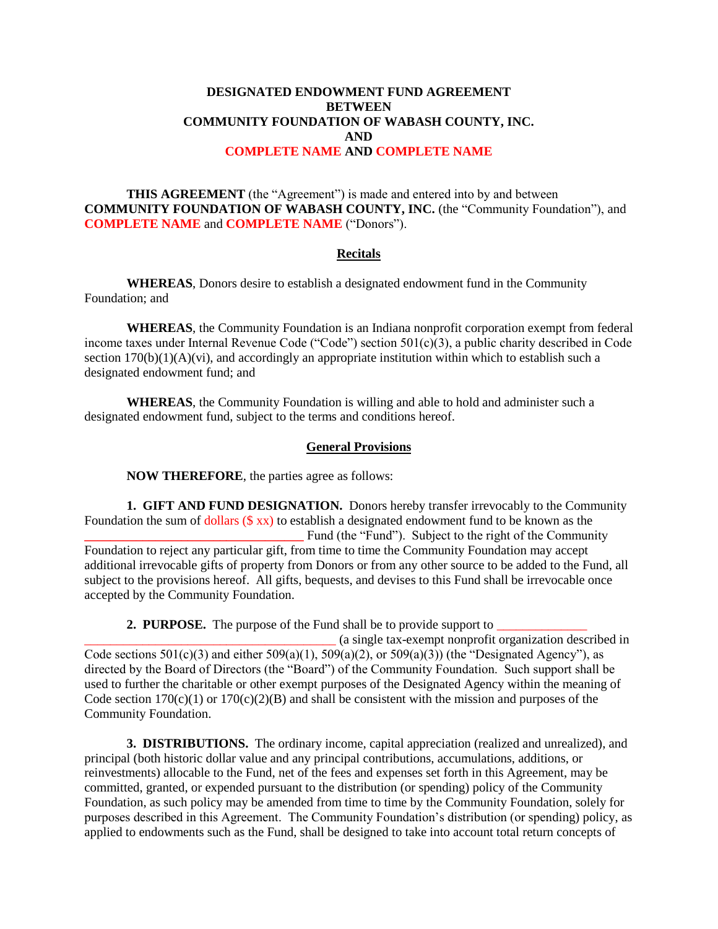## **DESIGNATED ENDOWMENT FUND AGREEMENT BETWEEN COMMUNITY FOUNDATION OF WABASH COUNTY, INC. AND COMPLETE NAME AND COMPLETE NAME**

**THIS AGREEMENT** (the "Agreement") is made and entered into by and between **COMMUNITY FOUNDATION OF WABASH COUNTY, INC.** (the "Community Foundation"), and **COMPLETE NAME** and **COMPLETE NAME** ("Donors").

## **Recitals**

**WHEREAS**, Donors desire to establish a designated endowment fund in the Community Foundation; and

**WHEREAS**, the Community Foundation is an Indiana nonprofit corporation exempt from federal income taxes under Internal Revenue Code ("Code") section 501(c)(3), a public charity described in Code section  $170(b)(1)(A)(vi)$ , and accordingly an appropriate institution within which to establish such a designated endowment fund; and

**WHEREAS**, the Community Foundation is willing and able to hold and administer such a designated endowment fund, subject to the terms and conditions hereof.

## **General Provisions**

**NOW THEREFORE**, the parties agree as follows:

accepted by the Community Foundation.

**1. GIFT AND FUND DESIGNATION.** Donors hereby transfer irrevocably to the Community Foundation the sum of dollars (\$ xx) to establish a designated endowment fund to be known as the **\_\_\_\_\_\_\_\_\_\_\_\_\_\_\_\_\_\_\_\_\_\_\_\_\_\_\_\_\_\_\_\_\_\_** Fund (the "Fund"). Subject to the right of the Community Foundation to reject any particular gift, from time to time the Community Foundation may accept additional irrevocable gifts of property from Donors or from any other source to be added to the Fund, all subject to the provisions hereof. All gifts, bequests, and devises to this Fund shall be irrevocable once

**2. PURPOSE.** The purpose of the Fund shall be to provide support to

\_\_\_\_\_\_\_\_\_\_\_\_\_\_\_\_\_\_\_\_\_\_\_\_\_\_\_\_\_\_\_\_\_\_\_\_\_\_\_ (a single tax-exempt nonprofit organization described in Code sections  $501(c)(3)$  and either  $509(a)(1)$ ,  $509(a)(2)$ , or  $509(a)(3)$ ) (the "Designated Agency"), as directed by the Board of Directors (the "Board") of the Community Foundation. Such support shall be used to further the charitable or other exempt purposes of the Designated Agency within the meaning of Code section  $170(c)(1)$  or  $170(c)(2)(B)$  and shall be consistent with the mission and purposes of the Community Foundation.

**3. DISTRIBUTIONS.** The ordinary income, capital appreciation (realized and unrealized), and principal (both historic dollar value and any principal contributions, accumulations, additions, or reinvestments) allocable to the Fund, net of the fees and expenses set forth in this Agreement, may be committed, granted, or expended pursuant to the distribution (or spending) policy of the Community Foundation, as such policy may be amended from time to time by the Community Foundation, solely for purposes described in this Agreement. The Community Foundation's distribution (or spending) policy, as applied to endowments such as the Fund, shall be designed to take into account total return concepts of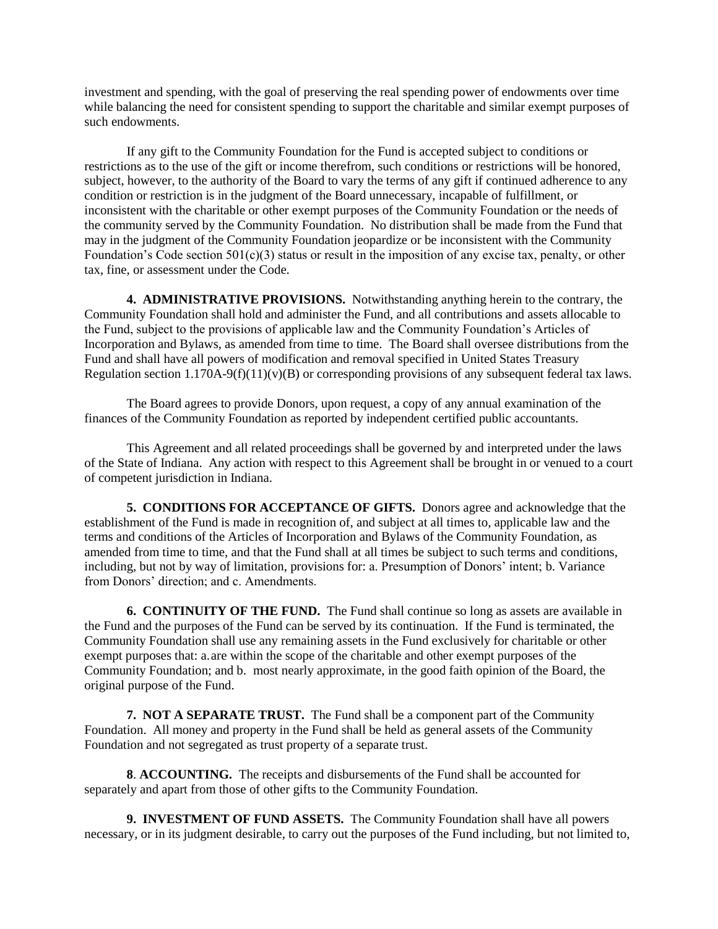investment and spending, with the goal of preserving the real spending power of endowments over time while balancing the need for consistent spending to support the charitable and similar exempt purposes of such endowments.

If any gift to the Community Foundation for the Fund is accepted subject to conditions or restrictions as to the use of the gift or income therefrom, such conditions or restrictions will be honored, subject, however, to the authority of the Board to vary the terms of any gift if continued adherence to any condition or restriction is in the judgment of the Board unnecessary, incapable of fulfillment, or inconsistent with the charitable or other exempt purposes of the Community Foundation or the needs of the community served by the Community Foundation. No distribution shall be made from the Fund that may in the judgment of the Community Foundation jeopardize or be inconsistent with the Community Foundation's Code section  $501(c)(3)$  status or result in the imposition of any excise tax, penalty, or other tax, fine, or assessment under the Code.

**4. ADMINISTRATIVE PROVISIONS.** Notwithstanding anything herein to the contrary, the Community Foundation shall hold and administer the Fund, and all contributions and assets allocable to the Fund, subject to the provisions of applicable law and the Community Foundation's Articles of Incorporation and Bylaws, as amended from time to time. The Board shall oversee distributions from the Fund and shall have all powers of modification and removal specified in United States Treasury Regulation section  $1.170A-9(f)(11)(v)(B)$  or corresponding provisions of any subsequent federal tax laws.

The Board agrees to provide Donors, upon request, a copy of any annual examination of the finances of the Community Foundation as reported by independent certified public accountants.

This Agreement and all related proceedings shall be governed by and interpreted under the laws of the State of Indiana. Any action with respect to this Agreement shall be brought in or venued to a court of competent jurisdiction in Indiana.

**5. CONDITIONS FOR ACCEPTANCE OF GIFTS.** Donors agree and acknowledge that the establishment of the Fund is made in recognition of, and subject at all times to, applicable law and the terms and conditions of the Articles of Incorporation and Bylaws of the Community Foundation, as amended from time to time, and that the Fund shall at all times be subject to such terms and conditions, including, but not by way of limitation, provisions for: a. Presumption of Donors' intent; b. Variance from Donors' direction; and c. Amendments.

**6. CONTINUITY OF THE FUND.** The Fund shall continue so long as assets are available in the Fund and the purposes of the Fund can be served by its continuation. If the Fund is terminated, the Community Foundation shall use any remaining assets in the Fund exclusively for charitable or other exempt purposes that: a.are within the scope of the charitable and other exempt purposes of the Community Foundation; and b. most nearly approximate, in the good faith opinion of the Board, the original purpose of the Fund.

**7. NOT A SEPARATE TRUST.** The Fund shall be a component part of the Community Foundation. All money and property in the Fund shall be held as general assets of the Community Foundation and not segregated as trust property of a separate trust.

**8**. **ACCOUNTING.** The receipts and disbursements of the Fund shall be accounted for separately and apart from those of other gifts to the Community Foundation.

**9. INVESTMENT OF FUND ASSETS.** The Community Foundation shall have all powers necessary, or in its judgment desirable, to carry out the purposes of the Fund including, but not limited to,